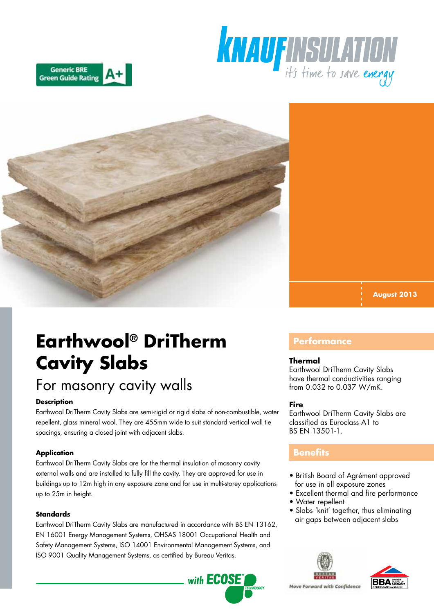





**August 2013**

# **Earthwool® DriTherm Cavity Slabs**

## For masonry cavity walls

#### **Description**

Earthwool DriTherm Cavity Slabs are semi-rigid or rigid slabs of non-combustible, water repellent, glass mineral wool. They are 455mm wide to suit standard vertical wall tie spacings, ensuring a closed joint with adjacent slabs.

#### **Application**

Earthwool DriTherm Cavity Slabs are for the thermal insulation of masonry cavity external walls and are installed to fully fill the cavity. They are approved for use in buildings up to 12m high in any exposure zone and for use in multi-storey applications up to 25m in height.

#### **Standards**

Earthwool DriTherm Cavity Slabs are manufactured in accordance with BS EN 13162, EN 16001 Energy Management Systems, OHSAS 18001 Occupational Health and Safety Management Systems, ISO 14001 Environmental Management Systems, and ISO 9001 Quality Management Systems, as certified by Bureau Veritas.



### **Performance**

#### **Thermal**

Earthwool DriTherm Cavity Slabs have thermal conductivities ranging from 0.032 to 0.037 W/mK.

#### **Fire**

Earthwool DriTherm Cavity Slabs are classified as Euroclass A1 to BS EN 13501-1.

## **Benefits**

- British Board of Agrément approved for use in all exposure zones
- Excellent thermal and fire performance
- Water repellent
- Slabs 'knit' together, thus eliminating air gaps between adjacent slabs





Move Forward with Confidence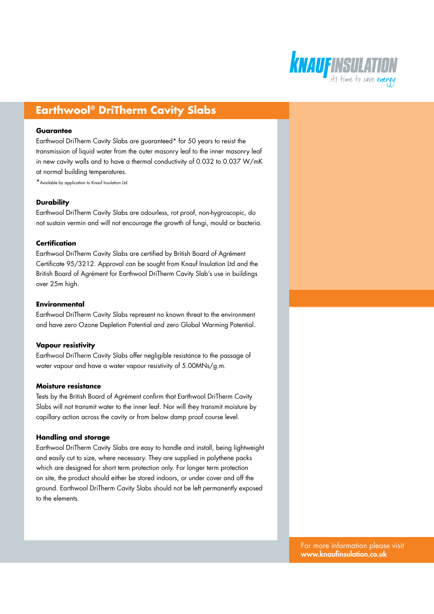

## **Earthwool® DriTherm Cavity Slabs**

#### **Guarantee**

Earthwool DriTherm Cavity Slabs are guaranteed\* for 50 years to resist the transmission of liquid water from the outer masonry leaf to the inner masonry leaf in new cavity walls and to have a thermal conductivity of 0.032 to 0.037 W/mK at normal building temperatures.

\*Available by application to Knauf Insulation Ltd

#### **Durability**

Earthwool DriTherm Cavity Slabs are odourless, rot proof, non-hygroscopic, do not sustain vermin and will not encourage the growth of fungi, mould or bacteria.

#### **Certification**

Earthwool DriTherm Cavity Slabs are certified by British Board of Agrément Certificate 95/3212. Approval can be sought from Knauf Insulation Ltd and the British Board of Agrément for Earthwool DriTherm Cavity Slab's use in buildings over 25m high.

#### **Environmental**

Earthwool DriTherm Cavity Slabs represent no known threat to the environment and have zero Ozone Depletion Potential and zero Global Warming Potential.

#### **Vapour resistivity**

Earthwool DriTherm Cavity Slabs offer negligible resistance to the passage of water vapour and have a water vapour resistivity of 5.00MNs/g.m.

#### **Moisture resistance**

Tests by the British Board of Agrément confirm that Earthwool DriTherm Cavity Slabs will not transmit water to the inner leaf. Nor will they transmit moisture by capillary action across the cavity or from below damp proof course level.

#### **Handling and storage**

Earthwool DriTherm Cavity Slabs are easy to handle and install, being lightweight and easily cut to size, where necessary. They are supplied in polythene packs which are designed for short term protection only. For longer term protection on site, the product should either be stored indoors, or under cover and off the ground. Earthwool DriTherm Cavity Slabs should not be left permanently exposed to the elements.

> For more information please visit www.knaufinsulation.co.uk